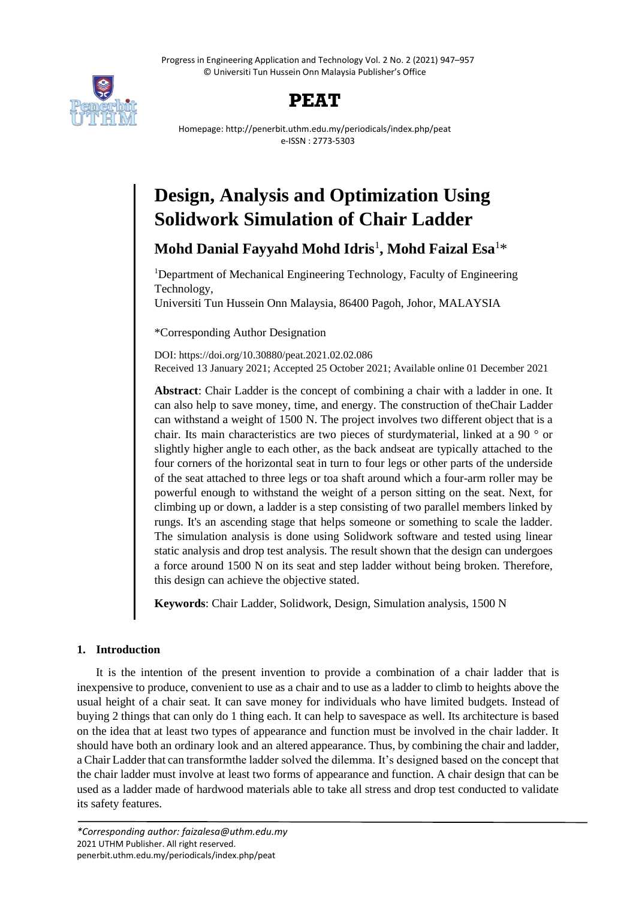Progress in Engineering Application and Technology Vol. 2 No. 2 (2021) 947–957 © Universiti Tun Hussein Onn Malaysia Publisher's Office



# **PEAT**

Homepage: http://penerbit.uthm.edu.my/periodicals/index.php/peat e-ISSN : 2773-5303

# **Design, Analysis and Optimization Using Solidwork Simulation of Chair Ladder**

**Mohd Danial Fayyahd Mohd Idris**<sup>1</sup> **, Mohd Faizal Esa**<sup>1</sup>\*

<sup>1</sup>Department of Mechanical Engineering Technology, Faculty of Engineering Technology,

Universiti Tun Hussein Onn Malaysia, 86400 Pagoh, Johor, MALAYSIA

\*Corresponding Author Designation

DOI: https://doi.org/10.30880/peat.2021.02.02.086 Received 13 January 2021; Accepted 25 October 2021; Available online 01 December 2021

**Abstract**: Chair Ladder is the concept of combining a chair with a ladder in one. It can also help to save money, time, and energy. The construction of theChair Ladder can withstand a weight of 1500 N. The project involves two different object that is a chair. Its main characteristics are two pieces of sturdymaterial, linked at a 90 ° or slightly higher angle to each other, as the back andseat are typically attached to the four corners of the horizontal seat in turn to four legs or other parts of the underside of the seat attached to three legs or toa shaft around which a four-arm roller may be powerful enough to withstand the weight of a person sitting on the seat. Next, for climbing up or down, a ladder is a step consisting of two parallel members linked by rungs. It's an ascending stage that helps someone or something to scale the ladder. The simulation analysis is done using Solidwork software and tested using linear static analysis and drop test analysis. The result shown that the design can undergoes a force around 1500 N on its seat and step ladder without being broken. Therefore, this design can achieve the objective stated.

**Keywords**: Chair Ladder, Solidwork, Design, Simulation analysis, 1500 N

# **1. Introduction**

It is the intention of the present invention to provide a combination of a chair ladder that is inexpensive to produce, convenient to use as a chair and to use as a ladder to climb to heights above the usual height of a chair seat. It can save money for individuals who have limited budgets. Instead of buying 2 things that can only do 1 thing each. It can help to savespace as well. Its architecture is based on the idea that at least two types of appearance and function must be involved in the chair ladder. It should have both an ordinary look and an altered appearance. Thus, by combining the chair and ladder, a Chair Ladder that can transformthe ladder solved the dilemma. It's designed based on the concept that the chair ladder must involve at least two forms of appearance and function. A chair design that can be used as a ladder made of hardwood materials able to take all stress and drop test conducted to validate its safety features.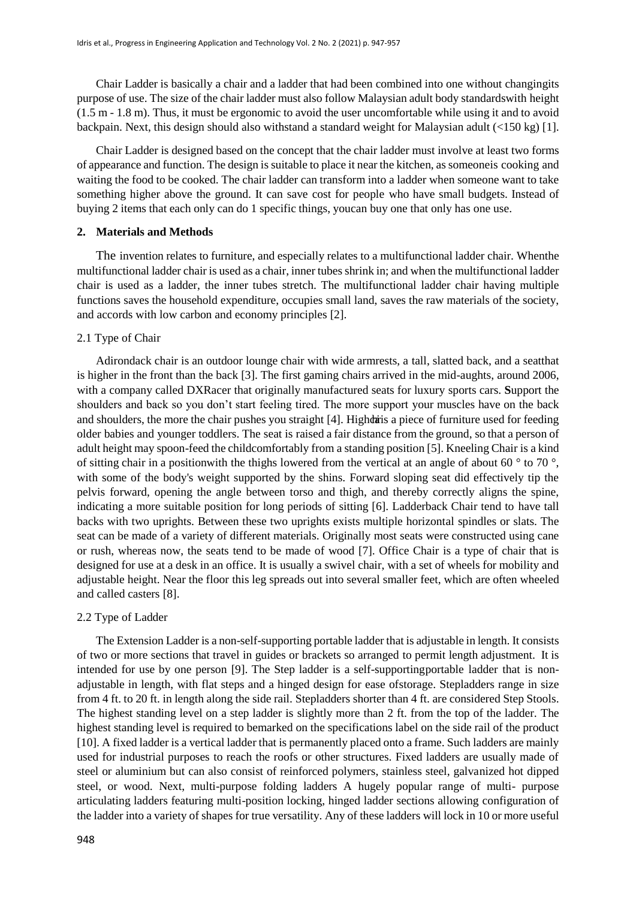Chair Ladder is basically a chair and a ladder that had been combined into one without changingits purpose of use. The size of the chair ladder must also follow Malaysian adult body standardswith height (1.5 m - 1.8 m). Thus, it must be ergonomic to avoid the user uncomfortable while using it and to avoid backpain. Next, this design should also withstand a standard weight for Malaysian adult (<150 kg) [1].

Chair Ladder is designed based on the concept that the chair ladder must involve at least two forms of appearance and function. The design is suitable to place it near the kitchen, as someoneis cooking and waiting the food to be cooked. The chair ladder can transform into a ladder when someone want to take something higher above the ground. It can save cost for people who have small budgets. Instead of buying 2 items that each only can do 1 specific things, youcan buy one that only has one use.

#### **2. Materials and Methods**

The invention relates to furniture, and especially relates to a multifunctional ladder chair. Whenthe multifunctional ladder chair is used as a chair, inner tubes shrink in; and when the multifunctional ladder chair is used as a ladder, the inner tubes stretch. The multifunctional ladder chair having multiple functions saves the household expenditure, occupies small land, saves the raw materials of the society, and accords with low carbon and economy principles [2].

#### 2.1 Type of Chair

Adirondack chair is an outdoor lounge chair with wide armrests, a tall, slatted back, and a seatthat is higher in the front than the back [3]. The first gaming chairs arrived in the mid-aughts, around 2006, with a company called DXRacer that originally manufactured seats for luxury sports cars. **S**upport the shoulders and back so you don't start feeling tired. The more support your muscles have on the back and shoulders, the more the chair pushes you straight [4]. Highdris a piece of furniture used for feeding older babies and younger toddlers. The seat is raised a fair distance from the ground, so that a person of adult height may spoon-feed the childcomfortably from a standing position [5]. Kneeling Chair is a kind of sitting chair in a position with the thighs lowered from the vertical at an angle of about 60  $\degree$  to 70  $\degree$ , with some of the body's weight supported by the shins. Forward sloping seat did effectively tip the pelvis forward, opening the angle between torso and thigh, and thereby correctly aligns the spine, indicating a more suitable position for long periods of sitting [6]. Ladderback Chair tend to have tall backs with two uprights. Between these two uprights exists multiple horizontal spindles or slats. The seat can be made of a variety of different materials. Originally most seats were constructed using cane or rush, whereas now, the seats tend to be made of wood [7]. Office Chair is a type of chair that is designed for use at a desk in an office. It is usually a swivel chair, with a set of wheels for mobility and adjustable height. Near the floor this leg spreads out into several smaller feet, which are often wheeled and called casters [8].

#### 2.2 Type of Ladder

The Extension Ladder is a non-self-supporting portable ladder that is adjustable in length. It consists of two or more sections that travel in guides or brackets so arranged to permit length adjustment. It is intended for use by one person [9]. The Step ladder is a self-supportingportable ladder that is nonadjustable in length, with flat steps and a hinged design for ease ofstorage. Stepladders range in size from 4 ft. to 20 ft. in length along the side rail. Stepladders shorter than 4 ft. are considered Step Stools. The highest standing level on a step ladder is slightly more than 2 ft. from the top of the ladder. The highest standing level is required to bemarked on the specifications label on the side rail of the product [10]. A fixed ladder is a vertical ladder that is permanently placed onto a frame. Such ladders are mainly used for industrial purposes to reach the roofs or other structures. Fixed ladders are usually made of steel or aluminium but can also consist of reinforced polymers, stainless steel, galvanized hot dipped steel, or wood. Next, multi-purpose folding ladders A hugely popular range of multi- purpose articulating ladders featuring multi-position locking, hinged ladder sections allowing configuration of the ladder into a variety of shapes for true versatility. Any of these ladders will lock in 10 or more useful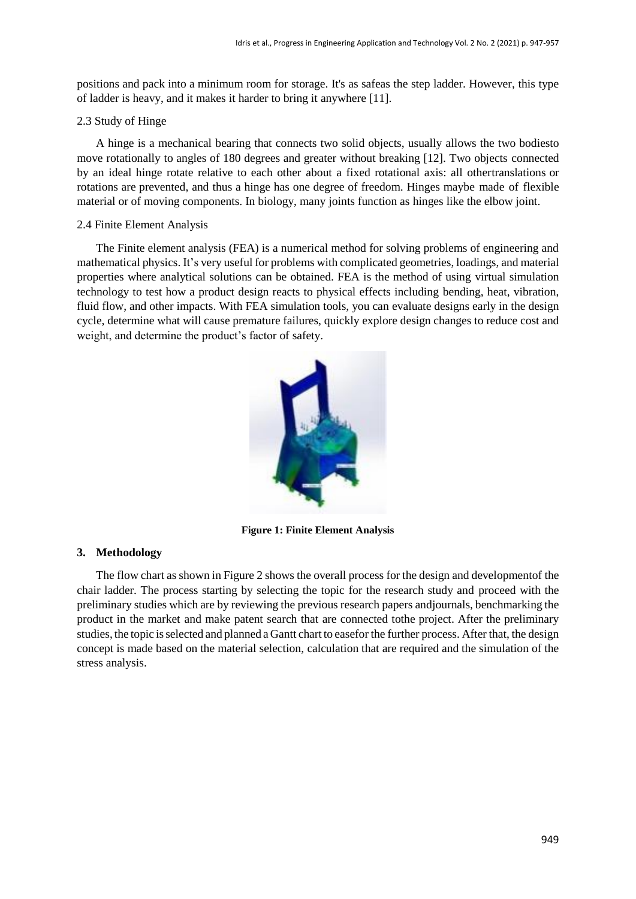positions and pack into a minimum room for storage. It's as safeas the step ladder. However, this type of ladder is heavy, and it makes it harder to bring it anywhere [11].

#### 2.3 Study of Hinge

A hinge is a mechanical bearing that connects two solid objects, usually allows the two bodiesto move rotationally to angles of 180 degrees and greater without breaking [12]. Two objects connected by an ideal hinge rotate relative to each other about a fixed rotational axis: all othertranslations or rotations are prevented, and thus a hinge has one degree of freedom. Hinges maybe made of flexible material or of moving components. In biology, many joints function as hinges like the elbow joint.

#### 2.4 Finite Element Analysis

The Finite element analysis (FEA) is a numerical method for solving problems of engineering and mathematical physics. It's very useful for problems with complicated geometries, loadings, and material properties where analytical solutions can be obtained. FEA is the method of using virtual simulation technology to test how a product design reacts to physical effects including bending, heat, vibration, fluid flow, and other impacts. With FEA simulation tools, you can evaluate designs early in the design cycle, determine what will cause premature failures, quickly explore design changes to reduce cost and weight, and determine the product's factor of safety.



**Figure 1: Finite Element Analysis**

# **3. Methodology**

The flow chart as shown in Figure 2 shows the overall process for the design and developmentof the chair ladder. The process starting by selecting the topic for the research study and proceed with the preliminary studies which are by reviewing the previous research papers andjournals, benchmarking the product in the market and make patent search that are connected tothe project. After the preliminary studies, the topic isselected and planned a Gantt chart to easefor the further process. After that, the design concept is made based on the material selection, calculation that are required and the simulation of the stress analysis.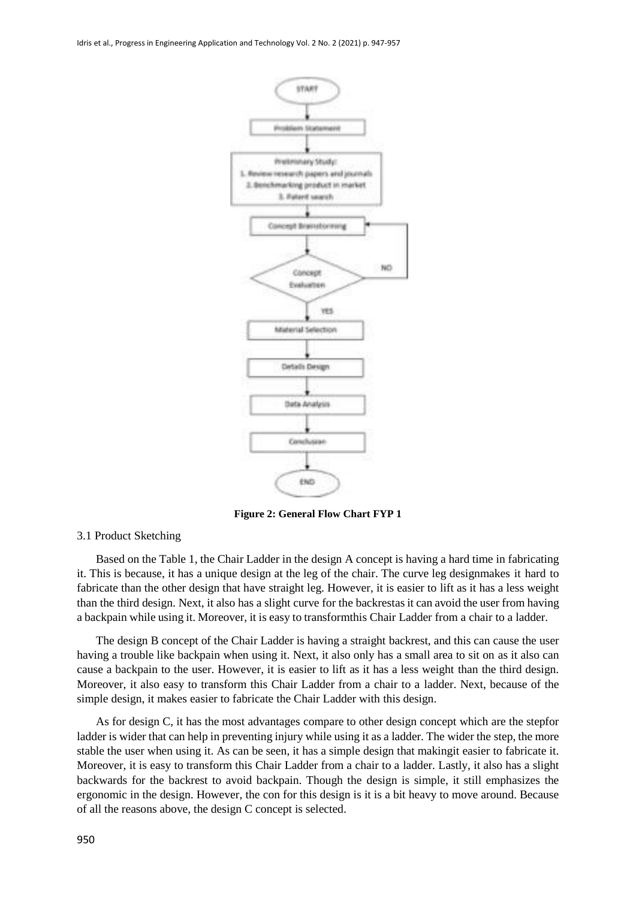

**Figure 2: General Flow Chart FYP 1**

#### 3.1 Product Sketching

Based on the Table 1, the Chair Ladder in the design A concept is having a hard time in fabricating it. This is because, it has a unique design at the leg of the chair. The curve leg designmakes it hard to fabricate than the other design that have straight leg. However, it is easier to lift as it has a less weight than the third design. Next, it also has a slight curve for the backrestas it can avoid the user from having a backpain while using it. Moreover, it is easy to transformthis Chair Ladder from a chair to a ladder.

The design B concept of the Chair Ladder is having a straight backrest, and this can cause the user having a trouble like backpain when using it. Next, it also only has a small area to sit on as it also can cause a backpain to the user. However, it is easier to lift as it has a less weight than the third design. Moreover, it also easy to transform this Chair Ladder from a chair to a ladder. Next, because of the simple design, it makes easier to fabricate the Chair Ladder with this design.

As for design C, it has the most advantages compare to other design concept which are the stepfor ladder is wider that can help in preventing injury while using it as a ladder. The wider the step, the more stable the user when using it. As can be seen, it has a simple design that makingit easier to fabricate it. Moreover, it is easy to transform this Chair Ladder from a chair to a ladder. Lastly, it also has a slight backwards for the backrest to avoid backpain. Though the design is simple, it still emphasizes the ergonomic in the design. However, the con for this design is it is a bit heavy to move around. Because of all the reasons above, the design C concept is selected.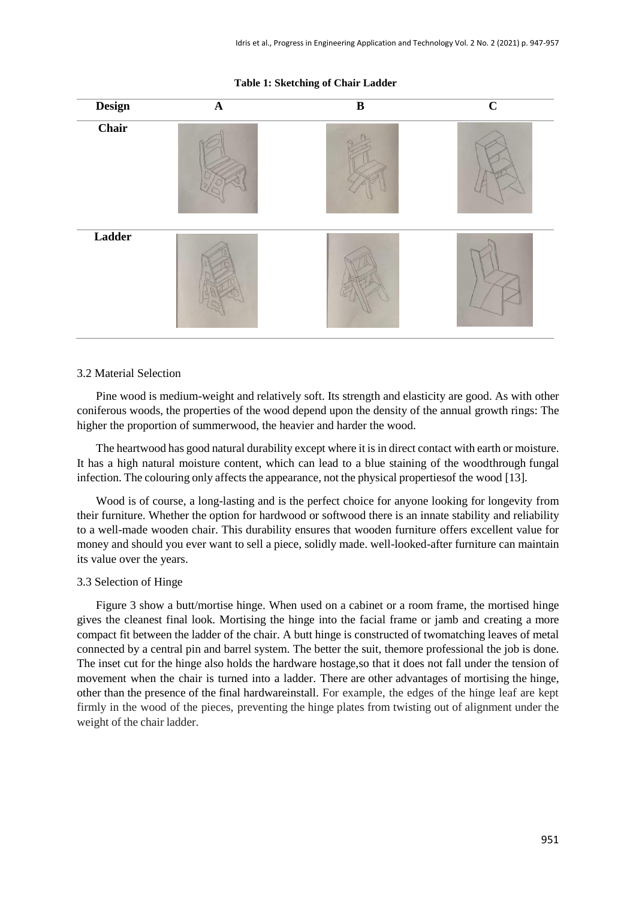#### **Table 1: Sketching of Chair Ladder**



# 3.2 Material Selection

Pine wood is medium-weight and relatively soft. Its strength and elasticity are good. As with other coniferous woods, the properties of the wood depend upon the density of the annual growth rings: The higher the proportion of summerwood, the heavier and harder the wood.

The heartwood has good natural durability except where it is in direct contact with earth or moisture. It has a high natural moisture content, which can lead to a blue staining of the woodthrough fungal infection. The colouring only affects the appearance, not the physical propertiesof the wood [13].

Wood is of course, a long-lasting and is the perfect choice for anyone looking for longevity from their furniture. Whether the option for hardwood or softwood there is an innate stability and reliability to a well-made wooden chair. This durability ensures that wooden furniture offers excellent value for money and should you ever want to sell a piece, solidly made. well-looked-after furniture can maintain its value over the years.

#### 3.3 Selection of Hinge

Figure 3 show a butt/mortise hinge. When used on a cabinet or a room frame, the mortised hinge gives the cleanest final look. Mortising the hinge into the facial frame or jamb and creating a more compact fit between the ladder of the chair. A butt hinge is constructed of twomatching leaves of metal connected by a central pin and barrel system. The better the suit, themore professional the job is done. The inset cut for the hinge also holds the hardware hostage,so that it does not fall under the tension of movement when the chair is turned into a ladder. There are other advantages of mortising the hinge, other than the presence of the final hardwareinstall. For example, the edges of the hinge leaf are kept firmly in the wood of the pieces, preventing the hinge plates from twisting out of alignment under the weight of the chair ladder.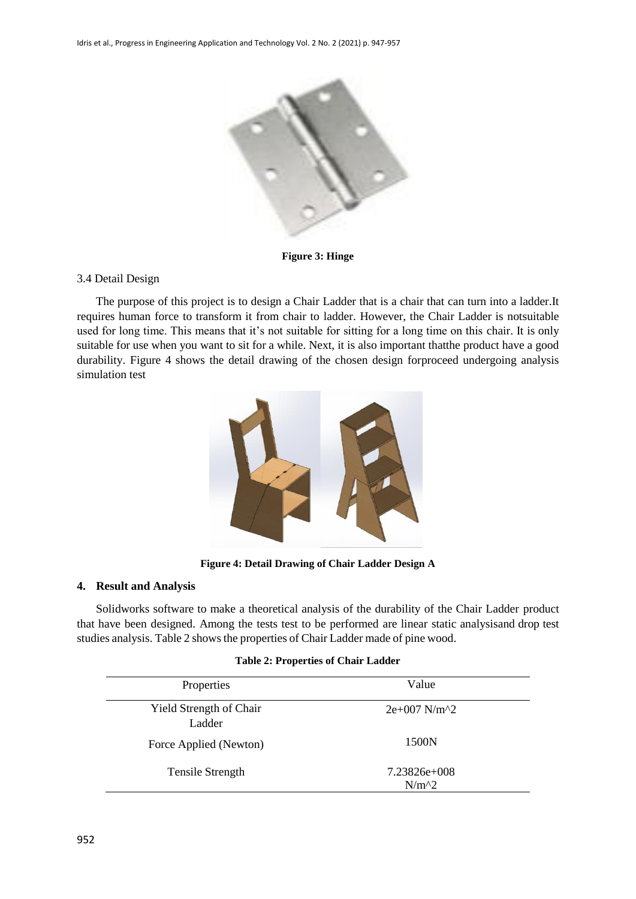

**Figure 3: Hinge**

# 3.4 Detail Design

The purpose of this project is to design a Chair Ladder that is a chair that can turn into a ladder.It requires human force to transform it from chair to ladder. However, the Chair Ladder is notsuitable used for long time. This means that it's not suitable for sitting for a long time on this chair. It is only suitable for use when you want to sit for a while. Next, it is also important thatthe product have a good durability. Figure 4 shows the detail drawing of the chosen design forproceed undergoing analysis simulation test



**Figure 4: Detail Drawing of Chair Ladder Design A**

# **4. Result and Analysis**

Solidworks software to make a theoretical analysis of the durability of the Chair Ladder product that have been designed. Among the tests test to be performed are linear static analysisand drop test studies analysis. Table 2 shows the properties of Chair Ladder made of pine wood.

#### **Table 2: Properties of Chair Ladder**

| Properties                               | Value                                         |
|------------------------------------------|-----------------------------------------------|
| <b>Yield Strength of Chair</b><br>Ladder | $2e+007$ N/m <sup><math>\gamma</math></sup> 2 |
| Force Applied (Newton)                   | 1500N                                         |
| Tensile Strength                         | $7.23826e+008$<br>$N/m^2$                     |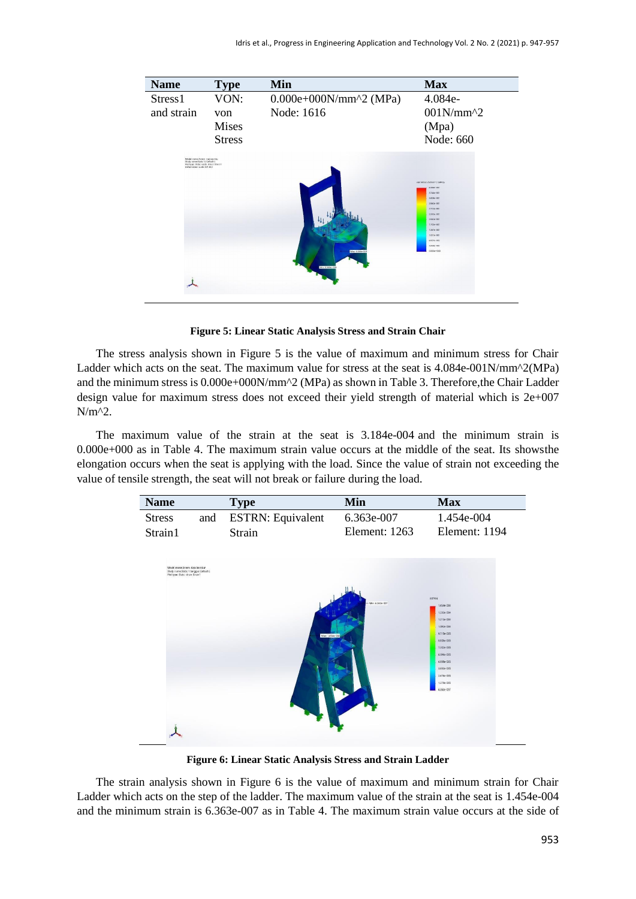

**Figure 5: Linear Static Analysis Stress and Strain Chair**

The stress analysis shown in Figure 5 is the value of maximum and minimum stress for Chair Ladder which acts on the seat. The maximum value for stress at the seat is 4.084e-001N/mm^2(MPa) and the minimum stress is 0.000e+000N/mm^2 (MPa) as shown in Table 3. Therefore,the Chair Ladder design value for maximum stress does not exceed their yield strength of material which is 2e+007 N/m^2.

The maximum value of the strain at the seat is 3.184e-004 and the minimum strain is 0.000e+000 as in Table 4. The maximum strain value occurs at the middle of the seat. Its showsthe elongation occurs when the seat is applying with the load. Since the value of strain not exceeding the value of tensile strength, the seat will not break or failure during the load.

| <b>Name</b>   |     | Type                     | Min             | <b>Max</b>    |
|---------------|-----|--------------------------|-----------------|---------------|
| <b>Stress</b> | and | <b>ESTRN:</b> Equivalent | 6.363e-007      | 1.454e-004    |
| Strain1       |     | Strain                   | Element: $1263$ | Element: 1194 |



**Figure 6: Linear Static Analysis Stress and Strain Ladder**

The strain analysis shown in Figure 6 is the value of maximum and minimum strain for Chair Ladder which acts on the step of the ladder. The maximum value of the strain at the seat is 1.454e-004 and the minimum strain is 6.363e-007 as in Table 4. The maximum strain value occurs at the side of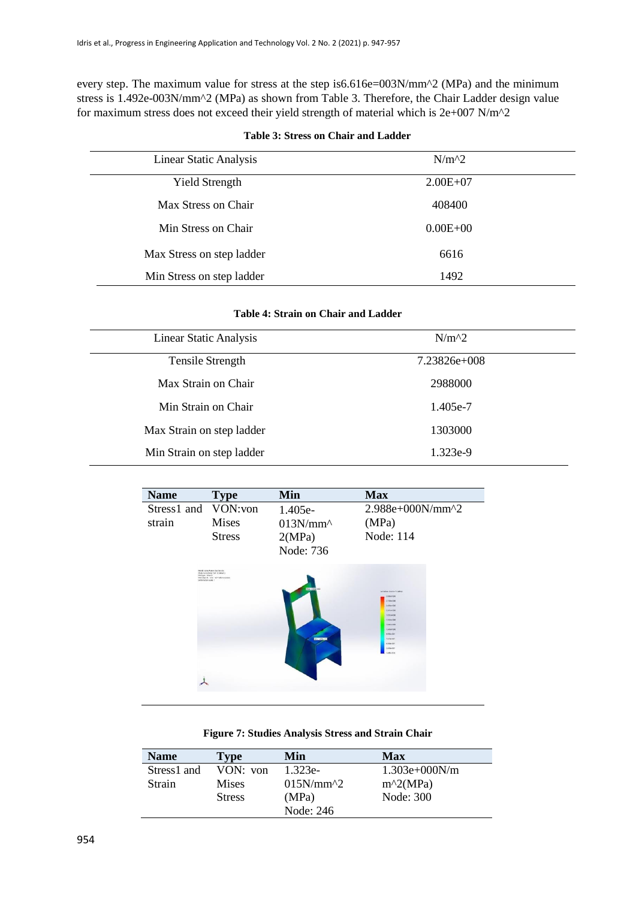every step. The maximum value for stress at the step is6.616e=003N/mm^2 (MPa) and the minimum stress is 1.492e-003N/mm^2 (MPa) as shown from Table 3. Therefore, the Chair Ladder design value for maximum stress does not exceed their yield strength of material which is 2e+007 N/m^2

| <b>Linear Static Analysis</b> | $N/m^2$      |  |
|-------------------------------|--------------|--|
| <b>Yield Strength</b>         | $2.00E + 07$ |  |
| Max Stress on Chair           | 408400       |  |
| Min Stress on Chair           | $0.00E + 00$ |  |
| Max Stress on step ladder     | 6616         |  |
| Min Stress on step ladder     | 1492         |  |

#### **Table 3: Stress on Chair and Ladder**

| Table 4: Strain on Chair and Ladder |  |  |  |  |  |
|-------------------------------------|--|--|--|--|--|
|-------------------------------------|--|--|--|--|--|

| <b>Linear Static Analysis</b> | $N/m^2$        |  |
|-------------------------------|----------------|--|
| <b>Tensile Strength</b>       | $7.23826e+008$ |  |
| Max Strain on Chair           | 2988000        |  |
| Min Strain on Chair           | 1.405e-7       |  |
| Max Strain on step ladder     | 1303000        |  |
| Min Strain on step ladder     | 1.323e-9       |  |

| <b>Name</b>                   | <b>Type</b>                                                                                                                  | Min                                           | <b>Max</b>                                                                                                                                                                                                            |
|-------------------------------|------------------------------------------------------------------------------------------------------------------------------|-----------------------------------------------|-----------------------------------------------------------------------------------------------------------------------------------------------------------------------------------------------------------------------|
| Stress1 and VON:von<br>strain | <b>Mises</b><br><b>Stress</b>                                                                                                | 1.405e-<br>$013N/mm^2$<br>2(MPa)<br>Node: 736 | 2.988e+000N/mm^2<br>(MPa)<br>Node: 114                                                                                                                                                                                |
| Plottype: Stress              | Model name hopey ties bender<br>Study numerDrop Text to Oatlach L<br>Rotstea 25 fine: W71 Microscorps<br>Deformation scale 1 | Mar 23904-000<br><b>Mill 1439-003</b>         | vox Mora (National 2 (MPa))<br>2,088a+100<br>$1776 + 000$<br>$2.406 + 020$<br>23414400<br><b>KRIO++100</b><br>1343e+000<br>14541-000<br>1,01549-000<br>9.855m OE1<br>7.47 Ge 001<br>4,550x 001<br>ZARG+001<br>405+013 |

#### **Figure 7: Studies Analysis Stress and Strain Chair**

| <b>Name</b> | Type          | Min         | Max             |
|-------------|---------------|-------------|-----------------|
| Stress1 and | VON: von      | $1.323e-$   | $1.303e+000N/m$ |
| Strain      | <b>Mises</b>  | $015N/mm^2$ | $m^2(MPa)$      |
|             | <b>Stress</b> | (MPa)       | Node: 300       |
|             |               | Node: 246   |                 |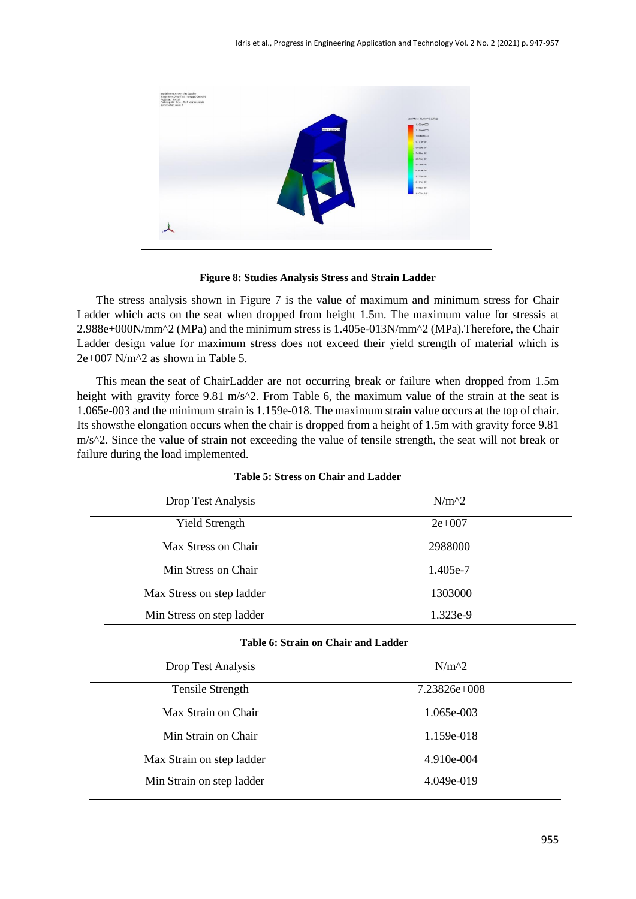

**Figure 8: Studies Analysis Stress and Strain Ladder**

The stress analysis shown in Figure 7 is the value of maximum and minimum stress for Chair Ladder which acts on the seat when dropped from height 1.5m. The maximum value for stressis at 2.988e+000N/mm^2 (MPa) and the minimum stress is 1.405e-013N/mm^2 (MPa).Therefore, the Chair Ladder design value for maximum stress does not exceed their yield strength of material which is  $2e+007$  N/m<sup> $\gamma$ </sup> as shown in Table 5.

This mean the seat of ChairLadder are not occurring break or failure when dropped from 1.5m height with gravity force 9.81 m/s $\textdegree$ 2. From Table 6, the maximum value of the strain at the seat is 1.065e-003 and the minimum strain is 1.159e-018. The maximum strain value occurs at the top of chair. Its showsthe elongation occurs when the chair is dropped from a height of 1.5m with gravity force 9.81  $m/s^2$ . Since the value of strain not exceeding the value of tensile strength, the seat will not break or failure during the load implemented.

| Drop Test Analysis        | $N/m^2$  |  |
|---------------------------|----------|--|
| <b>Yield Strength</b>     | $2e+007$ |  |
| Max Stress on Chair       | 2988000  |  |
| Min Stress on Chair       | 1.405e-7 |  |
| Max Stress on step ladder | 1303000  |  |
| Min Stress on step ladder | 1.323e-9 |  |

#### **Table 5: Stress on Chair and Ladder**

#### **Table 6: Strain on Chair and Ladder**

| <b>Drop Test Analysis</b> | $N/m^2$        |  |
|---------------------------|----------------|--|
| <b>Tensile Strength</b>   | $7.23826e+008$ |  |
| Max Strain on Chair       | 1.065e-003     |  |
| Min Strain on Chair       | 1.159e-018     |  |
| Max Strain on step ladder | $4.910e-004$   |  |
| Min Strain on step ladder | 4.049e-019     |  |
|                           |                |  |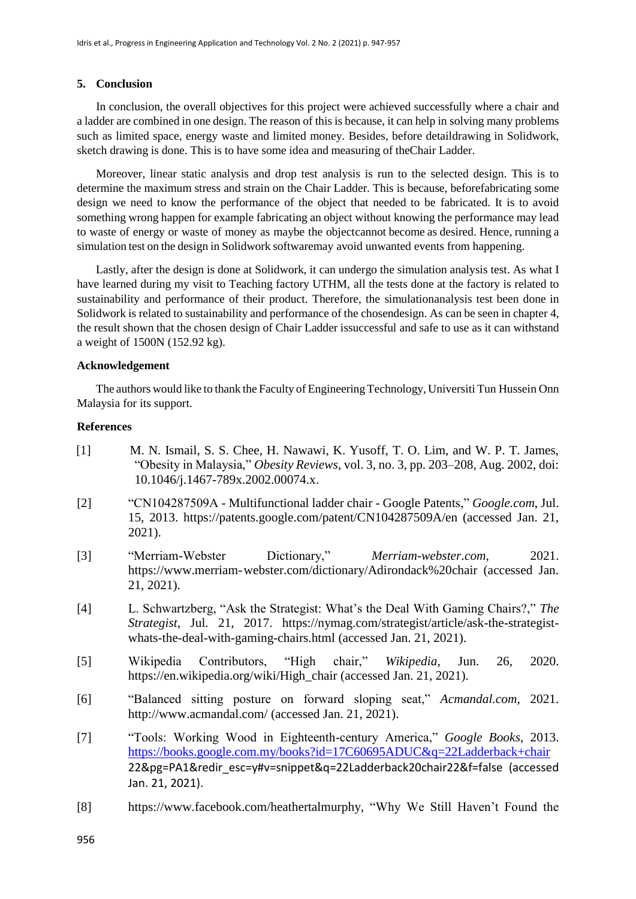# **5. Conclusion**

In conclusion, the overall objectives for this project were achieved successfully where a chair and a ladder are combined in one design. The reason of this is because, it can help in solving many problems such as limited space, energy waste and limited money. Besides, before detaildrawing in Solidwork, sketch drawing is done. This is to have some idea and measuring of theChair Ladder.

Moreover, linear static analysis and drop test analysis is run to the selected design. This is to determine the maximum stress and strain on the Chair Ladder. This is because, beforefabricating some design we need to know the performance of the object that needed to be fabricated. It is to avoid something wrong happen for example fabricating an object without knowing the performance may lead to waste of energy or waste of money as maybe the objectcannot become as desired. Hence, running a simulation test on the design in Solidwork softwaremay avoid unwanted events from happening.

Lastly, after the design is done at Solidwork, it can undergo the simulation analysis test. As what I have learned during my visit to Teaching factory UTHM, all the tests done at the factory is related to sustainability and performance of their product. Therefore, the simulationanalysis test been done in Solidwork is related to sustainability and performance of the chosendesign. As can be seen in chapter 4, the result shown that the chosen design of Chair Ladder issuccessful and safe to use as it can withstand a weight of 1500N (152.92 kg).

# **Acknowledgement**

The authors would like to thank the Faculty of Engineering Technology, Universiti Tun Hussein Onn Malaysia for its support.

# **References**

- [1] M. N. Ismail, S. S. Chee, H. Nawawi, K. Yusoff, T. O. Lim, and W. P. T. James, "Obesity in Malaysia," *Obesity Reviews*, vol. 3, no. 3, pp. 203–208, Aug. 2002, doi: 10.1046/j.1467-789x.2002.00074.x.
- [2] "CN104287509A Multifunctional ladder chair Google Patents," *Google.com*, Jul. 15, 2013. https://patents.google.com/patent/CN104287509A/en (accessed Jan. 21, 2021).
- [3] "Merriam-Webster Dictionary," *Merriam-webster.com*, 2021. https://www.merriam-webster.com/dictionary/Adirondack%20chair (accessed Jan. 21, 2021).
- [4] L. Schwartzberg, "Ask the Strategist: What's the Deal With Gaming Chairs?," *The Strategist*, Jul. 21, 2017. https://nymag.com/strategist/article/ask-the-strategistwhats-the-deal-with-gaming-chairs.html (accessed Jan. 21, 2021).
- [5] Wikipedia Contributors, "High chair," *Wikipedia*, Jun. 26, 2020. https://en.wikipedia.org/wiki/High\_chair (accessed Jan. 21, 2021).
- [6] "Balanced sitting posture on forward sloping seat," *Acmandal.com*, 2021. <http://www.acmandal.com/> (accessed Jan. 21, 2021).
- [7] "Tools: Working Wood in Eighteenth-century America," *Google Books*, 2013. <https://books.google.com.my/books?id=17C60695ADUC&q=22Ladderback+chair> 22&pg=PA1&redir\_esc=y#v=snippet&q=22Ladderback20chair22&f=false (accessed Jan. 21, 2021).
- [8] https:[//www.facebook.com/heathertalmurphy, "](http://www.facebook.com/heathertalmurphy)Why We Still Haven't Found the

956